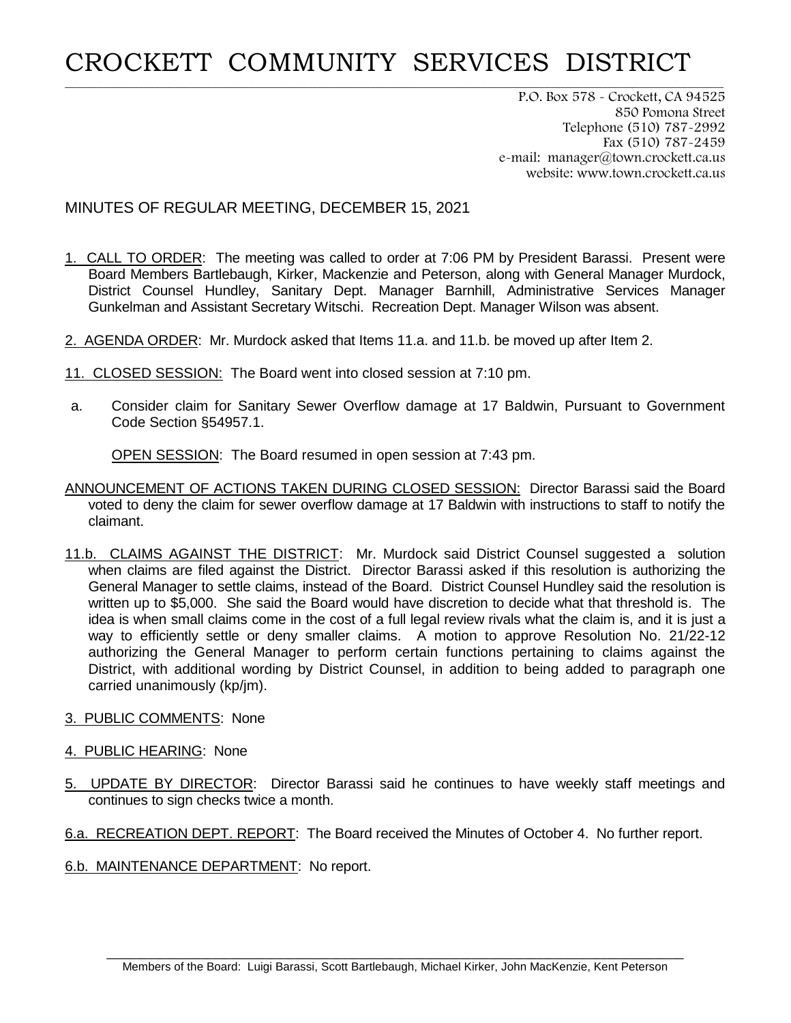## CROCKETT COMMUNITY SERVICES DISTRICT

**\_\_\_\_\_\_\_\_\_\_\_\_\_\_\_\_\_\_\_\_\_\_\_\_\_\_\_\_\_\_\_\_\_\_\_\_\_\_\_\_\_\_\_\_\_\_\_\_\_\_\_\_\_\_\_\_\_\_\_\_\_\_\_\_\_\_\_\_\_\_\_\_\_\_\_\_\_\_\_\_\_\_\_\_\_\_\_\_\_\_\_\_\_\_\_\_\_\_\_\_\_\_\_\_\_\_\_\_\_\_\_\_\_\_\_\_\_\_\_\_\_\_\_\_\_**

P.O. Box 578 - Crockett, CA 94525 850 Pomona Street Telephone (510) 787-2992 Fax (510) 787-2459 e-mail: manager@town.crockett.ca.us website: www.town.crockett.ca.us

## MINUTES OF REGULAR MEETING, DECEMBER 15, 2021

- 1. CALL TO ORDER: The meeting was called to order at 7:06 PM by President Barassi. Present were Board Members Bartlebaugh, Kirker, Mackenzie and Peterson, along with General Manager Murdock, District Counsel Hundley, Sanitary Dept. Manager Barnhill, Administrative Services Manager Gunkelman and Assistant Secretary Witschi. Recreation Dept. Manager Wilson was absent.
- 2. AGENDA ORDER: Mr. Murdock asked that Items 11.a. and 11.b. be moved up after Item 2.
- 11. CLOSED SESSION: The Board went into closed session at 7:10 pm.
- a. Consider claim for Sanitary Sewer Overflow damage at 17 Baldwin, Pursuant to Government Code Section §54957.1.

OPEN SESSION: The Board resumed in open session at 7:43 pm.

- ANNOUNCEMENT OF ACTIONS TAKEN DURING CLOSED SESSION: Director Barassi said the Board voted to deny the claim for sewer overflow damage at 17 Baldwin with instructions to staff to notify the claimant.
- 11.b. CLAIMS AGAINST THE DISTRICT: Mr. Murdock said District Counsel suggested a solution when claims are filed against the District. Director Barassi asked if this resolution is authorizing the General Manager to settle claims, instead of the Board. District Counsel Hundley said the resolution is written up to \$5,000. She said the Board would have discretion to decide what that threshold is. The idea is when small claims come in the cost of a full legal review rivals what the claim is, and it is just a way to efficiently settle or deny smaller claims. A motion to approve Resolution No. 21/22-12 authorizing the General Manager to perform certain functions pertaining to claims against the District, with additional wording by District Counsel, in addition to being added to paragraph one carried unanimously (kp/jm).
- 3. PUBLIC COMMENTS: None
- 4. PUBLIC HEARING: None
- 5. UPDATE BY DIRECTOR: Director Barassi said he continues to have weekly staff meetings and continues to sign checks twice a month.
- 6.a. RECREATION DEPT. REPORT: The Board received the Minutes of October 4. No further report.
- 6.b. MAINTENANCE DEPARTMENT: No report.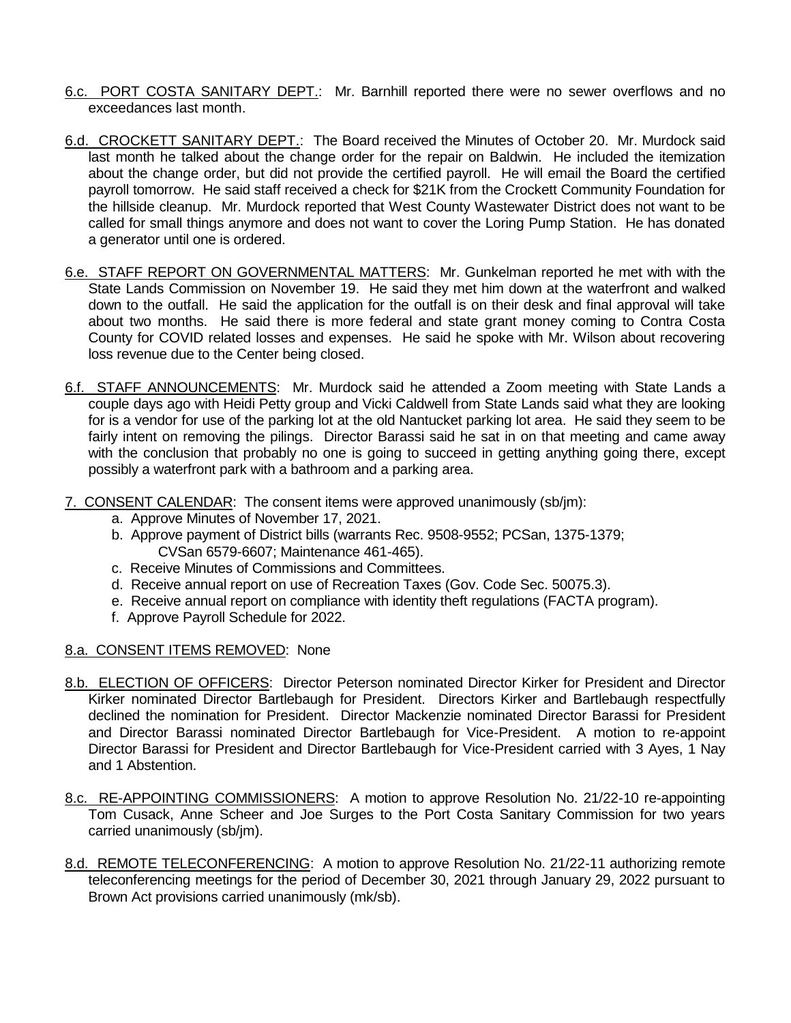- 6.c. PORT COSTA SANITARY DEPT.: Mr. Barnhill reported there were no sewer overflows and no exceedances last month.
- 6.d. CROCKETT SANITARY DEPT.: The Board received the Minutes of October 20. Mr. Murdock said last month he talked about the change order for the repair on Baldwin. He included the itemization about the change order, but did not provide the certified payroll. He will email the Board the certified payroll tomorrow. He said staff received a check for \$21K from the Crockett Community Foundation for the hillside cleanup. Mr. Murdock reported that West County Wastewater District does not want to be called for small things anymore and does not want to cover the Loring Pump Station. He has donated a generator until one is ordered.
- 6.e. STAFF REPORT ON GOVERNMENTAL MATTERS: Mr. Gunkelman reported he met with with the State Lands Commission on November 19. He said they met him down at the waterfront and walked down to the outfall. He said the application for the outfall is on their desk and final approval will take about two months. He said there is more federal and state grant money coming to Contra Costa County for COVID related losses and expenses. He said he spoke with Mr. Wilson about recovering loss revenue due to the Center being closed.
- 6.f. STAFF ANNOUNCEMENTS: Mr. Murdock said he attended a Zoom meeting with State Lands a couple days ago with Heidi Petty group and Vicki Caldwell from State Lands said what they are looking for is a vendor for use of the parking lot at the old Nantucket parking lot area. He said they seem to be fairly intent on removing the pilings. Director Barassi said he sat in on that meeting and came away with the conclusion that probably no one is going to succeed in getting anything going there, except possibly a waterfront park with a bathroom and a parking area.
- 7. CONSENT CALENDAR: The consent items were approved unanimously (sb/jm):
	- a. Approve Minutes of November 17, 2021.
	- b. Approve payment of District bills (warrants Rec. 9508-9552; PCSan, 1375-1379; CVSan 6579-6607; Maintenance 461-465).
	- c. Receive Minutes of Commissions and Committees.
	- d. Receive annual report on use of Recreation Taxes (Gov. Code Sec. 50075.3).
	- e. Receive annual report on compliance with identity theft regulations (FACTA program).
	- f. Approve Payroll Schedule for 2022.

## 8.a. CONSENT ITEMS REMOVED: None

- 8.b. ELECTION OF OFFICERS: Director Peterson nominated Director Kirker for President and Director Kirker nominated Director Bartlebaugh for President. Directors Kirker and Bartlebaugh respectfully declined the nomination for President. Director Mackenzie nominated Director Barassi for President and Director Barassi nominated Director Bartlebaugh for Vice-President. A motion to re-appoint Director Barassi for President and Director Bartlebaugh for Vice-President carried with 3 Ayes, 1 Nay and 1 Abstention.
- 8.c. RE-APPOINTING COMMISSIONERS: A motion to approve Resolution No. 21/22-10 re-appointing Tom Cusack, Anne Scheer and Joe Surges to the Port Costa Sanitary Commission for two years carried unanimously (sb/jm).
- 8.d. REMOTE TELECONFERENCING: A motion to approve Resolution No. 21/22-11 authorizing remote teleconferencing meetings for the period of December 30, 2021 through January 29, 2022 pursuant to Brown Act provisions carried unanimously (mk/sb).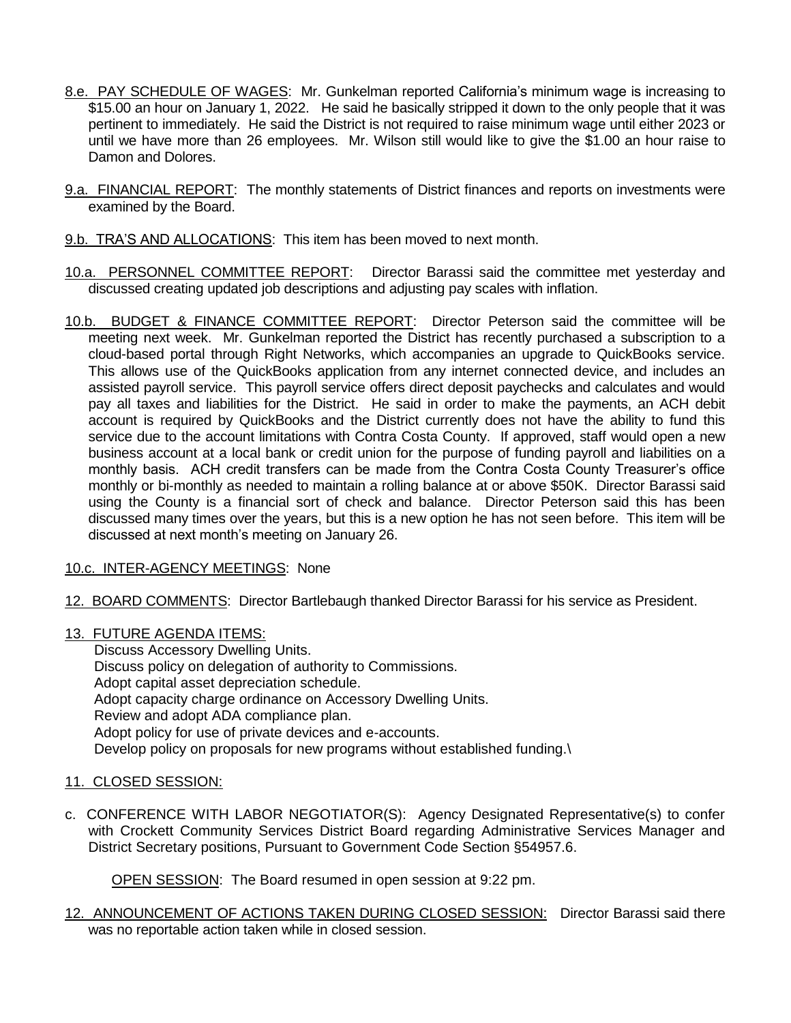- 8.e. PAY SCHEDULE OF WAGES: Mr. Gunkelman reported California's minimum wage is increasing to \$15.00 an hour on January 1, 2022. He said he basically stripped it down to the only people that it was pertinent to immediately. He said the District is not required to raise minimum wage until either 2023 or until we have more than 26 employees. Mr. Wilson still would like to give the \$1.00 an hour raise to Damon and Dolores.
- 9.a. FINANCIAL REPORT: The monthly statements of District finances and reports on investments were examined by the Board.
- 9.b. TRA'S AND ALLOCATIONS: This item has been moved to next month.
- 10.a. PERSONNEL COMMITTEE REPORT: Director Barassi said the committee met yesterday and discussed creating updated job descriptions and adjusting pay scales with inflation.
- 10.b. BUDGET & FINANCE COMMITTEE REPORT: Director Peterson said the committee will be meeting next week. Mr. Gunkelman reported the District has recently purchased a subscription to a cloud-based portal through Right Networks, which accompanies an upgrade to QuickBooks service. This allows use of the QuickBooks application from any internet connected device, and includes an assisted payroll service. This payroll service offers direct deposit paychecks and calculates and would pay all taxes and liabilities for the District. He said in order to make the payments, an ACH debit account is required by QuickBooks and the District currently does not have the ability to fund this service due to the account limitations with Contra Costa County. If approved, staff would open a new business account at a local bank or credit union for the purpose of funding payroll and liabilities on a monthly basis. ACH credit transfers can be made from the Contra Costa County Treasurer's office monthly or bi-monthly as needed to maintain a rolling balance at or above \$50K. Director Barassi said using the County is a financial sort of check and balance. Director Peterson said this has been discussed many times over the years, but this is a new option he has not seen before. This item will be discussed at next month's meeting on January 26.
- 10.c. INTER-AGENCY MEETINGS: None
- 12. BOARD COMMENTS: Director Bartlebaugh thanked Director Barassi for his service as President.
- 13. FUTURE AGENDA ITEMS:

Discuss Accessory Dwelling Units. Discuss policy on delegation of authority to Commissions. Adopt capital asset depreciation schedule. Adopt capacity charge ordinance on Accessory Dwelling Units. Review and adopt ADA compliance plan. Adopt policy for use of private devices and e-accounts. Develop policy on proposals for new programs without established funding.\

## 11. CLOSED SESSION:

c. CONFERENCE WITH LABOR NEGOTIATOR(S): Agency Designated Representative(s) to confer with Crockett Community Services District Board regarding Administrative Services Manager and District Secretary positions, Pursuant to Government Code Section §54957.6.

OPEN SESSION: The Board resumed in open session at 9:22 pm.

12. ANNOUNCEMENT OF ACTIONS TAKEN DURING CLOSED SESSION: Director Barassi said there was no reportable action taken while in closed session.